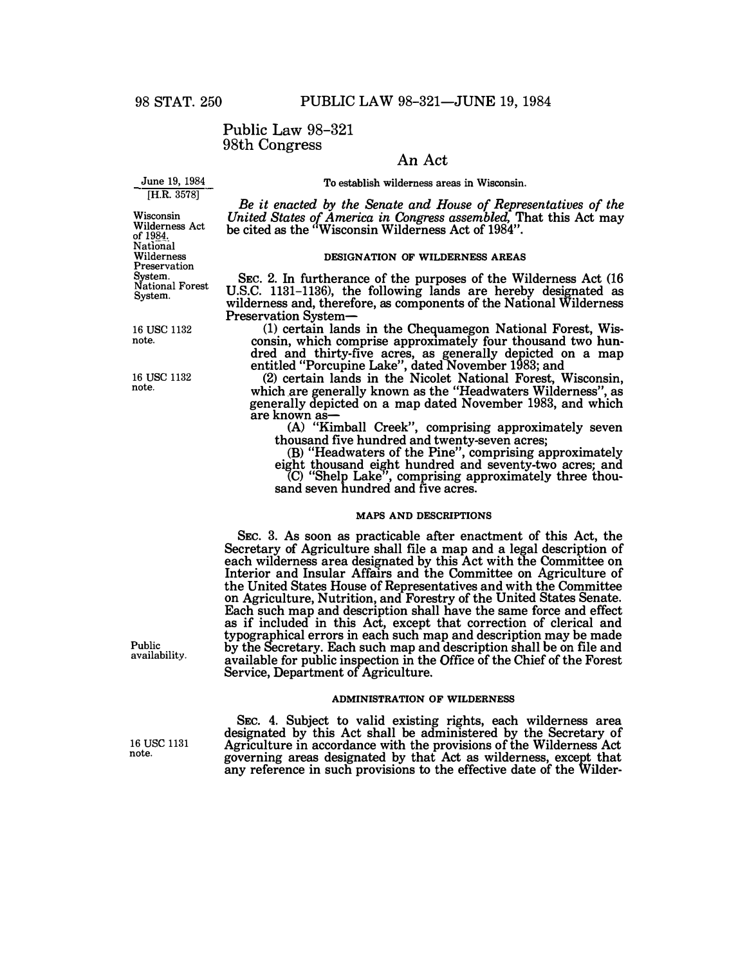# Public Law 98-321 98th Congress

# **An Act**

**June 19, 1984**  [H.R. 3578]

**To establish wilderness areas in Wisconsin.** 

*Be it enacted by the Senate and House of Representatives of the United States of America in Congress assembled,* **That this Act may be cited as the "Wisconsin Wilderness Act of 1984".** 

### **DESIGNATION OF WILDERNESS AREAS**

**SEc. 2. In furtherance of the purposes of the Wilderness Act (16 U.S.C.** 1131-1136), **the following lands are hereby designated as wilderness and, therefore, as components of the National Wilderness Preservation System- (1) certain lands in the Chequamegon National Forest, Wis-**

**consin, which comprise approximately four thousand two hundred and thirty-five acres, as generally depicted on a map entitled "Porcupine Lake", dated November 1983; and** 

**(2) certain lands in the Nicolet National Forest, Wisconsin, which are generally known as the "Headwaters Wilderness", as generally depicted on a map dated November 1983, and which are known as-**

**(A) "Kimball Creek", comprising approximately seven thousand five hundred and twenty-seven acres;** 

(B) "Headwaters of the Pine", comprising approximately eight thousand eight hundred and seventy-two acres; and <br>
(C) "Shelp Lake", comprising approximately three thou-

**sand seven hundred and five acres.** 

### **MAPS AND DESCRIPTIONS**

**SEC. 3. As soon as practicable after enactment of this Act, the Secretary of Agriculture shall file a map and a legal description of each wilderness area designated by this Act with the Committee on Interior and Insular Affairs and the Committee on Agriculture of the United States House of Representatives and with the Committee on Agriculture, Nutrition, and Forestry of the United States Senate. Each such map and description shall have the same force and effect as if included in this Act, except that correction of clerical and typographical errors in each such map and description may be made by the Secretary. Each such map and description shall be on file and available for public inspection in the Office of the Chief of the Forest Service, Department of Agriculture.** 

#### **ADMINISTRATION OF WILDERNESS**

**SEC. 4. Subject to valid existing rights, each wilderness area designated by this Act shall be administered by the Secretary of Agriculture in accordance with the provisions of the Wilderness Act governing areas designated by that Act as wilderness, except that any reference in such provisions to the effective date of the Wilder-**

**Wisconsin Wilderness Act of 1984. National Wilderness Preservation System. National Forest System.** 

16 use 1132 **note.** 

16 use 1132 **note.** 

**Public availability.** 

16 USC 1131 **note.**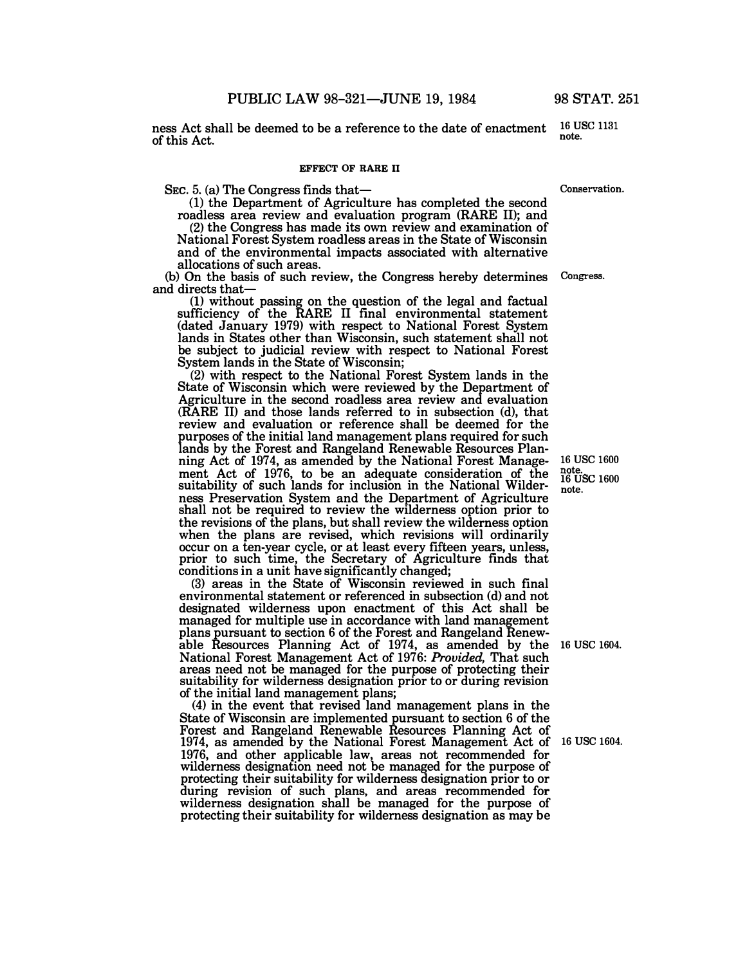**ness Act shall be deemed to be a reference to the date of enactment of this Act.** 

### **EFFECT OF RARE II**

SEC. 5. (a) The Congress finds that-

(1) **the Department of Agriculture has completed the second roadless area review and evaluation program (RARE II); and** 

**(2) the Congress has made its own review and examination of National Forest System roadless areas in the State of Wisconsin and of the environmental impacts associated with alternative allocations of such areas.** 

**(b) On the basis of such review, the Congress hereby determines Congress. and directs that-**

**(1) without passing on the question of the legal and factual**  sufficiency of the RARE II final environmental statement **(dated January 1979) with respect to National Forest System lands in States other than Wisconsin, such statement shall not be subject to judicial review with respect to National Forest System lands in the State of Wisconsin;** 

**(2) with respect to the National Forest System lands in the State of Wisconsin which were reviewed by the Department of Agriculture in the second roadless area review and evaluation (RARE II) and those lands referred to in subsection (d), that review and evaluation or reference shall be deemed for the purposes of the initial land management plans required for such lands by the Forest and Rangeland Renewable Resources Planning Act of 1974, as amended by the National Forest Management Act of 1976, to be an adequate consideration of the suitability of such lands for inclusion in the National Wilderness Preservation System and the Department of Agriculture shall not be required to review the wilderness option prior to the revisions of the plans, but shall review the wilderness option when the plans are revised, which revisions will ordinarily occur on a ten-year cycle, or at least every fifteen years, unless, prior to such time, the Secretary of Agriculture finds that conditions in a unit have significantly changed;** 

**(3) areas in the State of Wisconsin reviewed in such final environmental statement or referenced in subsection (d) and not designated wilderness upon enactment of this Act shall be managed for multiple use in accordance with land management plans pursuant to section 6 of the Forest and Rangeland Renewable Resources Planning Act of 1974, as amended by the 16 USC 1604. National Forest Management Act of 1976:** *Provided,* **That such areas need not be managed for the purpose of protecting their suitability for wilderness designation prior to or during revision of the initial land management plans;** 

**(4) in the event that revised land management plans in the State of Wisconsin are implemented pursuant to section 6 of the Forest and Rangeland Renewable Resources Planning Act of 1974, as amended by the National Forest Management Act of 16 USC 1604. 1976, and other applicable law, areas not recommended for wilderness designation need not be managed for the purpose of protecting their suitability for wilderness designation prior to or during revision of such plans, and areas recommended for wilderness designation shall be managed for the purpose of protecting their suitability for wilderness designation as may be**

**16 USC 1600 note.**<br> **16 USC 1600 note.** 

**Conservation.** 

**<sup>16</sup>**usc **<sup>1131</sup> note.**